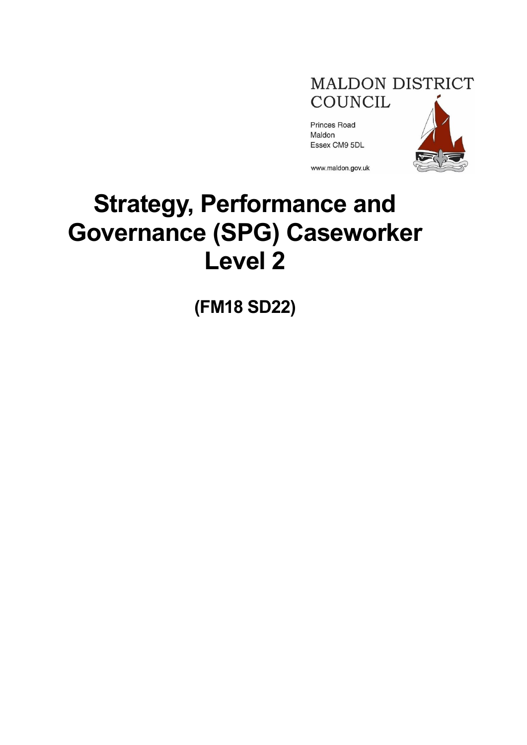

Princes Road Maldon Essex CM9 5DL



www.maldon.gov.uk

# **Strategy, Performance and Governance (SPG) Caseworker Level 2**

**(FM18 SD22)**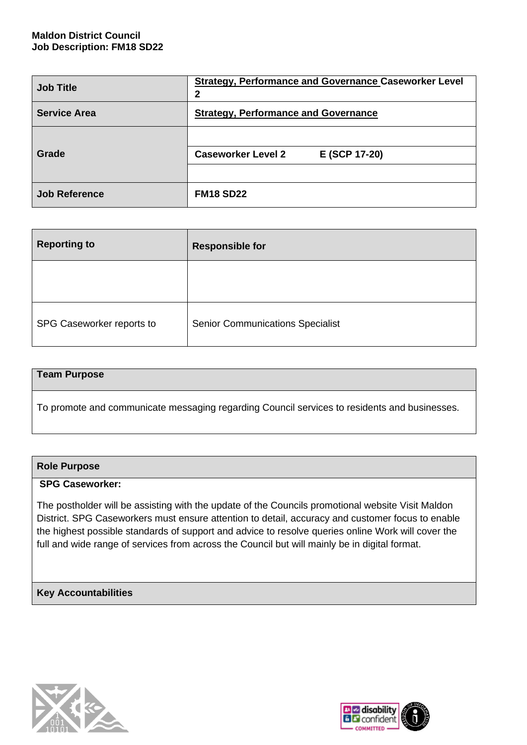## **Maldon District Council Job Description: FM18 SD22**

| <b>Job Title</b>     | <b>Strategy, Performance and Governance Caseworker Level</b><br>2 |  |  |
|----------------------|-------------------------------------------------------------------|--|--|
| <b>Service Area</b>  | <b>Strategy, Performance and Governance</b>                       |  |  |
| Grade                | <b>Caseworker Level 2</b><br>E (SCP 17-20)                        |  |  |
| <b>Job Reference</b> | <b>FM18 SD22</b>                                                  |  |  |

| <b>Reporting to</b>       | <b>Responsible for</b>                  |
|---------------------------|-----------------------------------------|
|                           |                                         |
| SPG Caseworker reports to | <b>Senior Communications Specialist</b> |

#### **Team Purpose**

To promote and communicate messaging regarding Council services to residents and businesses.

#### **Role Purpose**

#### **SPG Caseworker:**

The postholder will be assisting with the update of the Councils promotional website Visit Maldon District. SPG Caseworkers must ensure attention to detail, accuracy and customer focus to enable the highest possible standards of support and advice to resolve queries online Work will cover the full and wide range of services from across the Council but will mainly be in digital format.

# **Key Accountabilities**



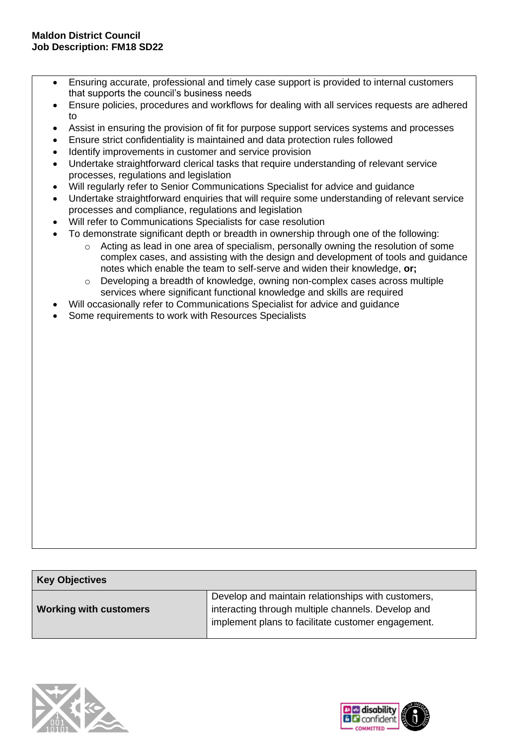- Ensuring accurate, professional and timely case support is provided to internal customers that supports the council's business needs
- Ensure policies, procedures and workflows for dealing with all services requests are adhered to
- Assist in ensuring the provision of fit for purpose support services systems and processes
- Ensure strict confidentiality is maintained and data protection rules followed
- Identify improvements in customer and service provision
- Undertake straightforward clerical tasks that require understanding of relevant service processes, regulations and legislation
- Will regularly refer to Senior Communications Specialist for advice and guidance
- Undertake straightforward enquiries that will require some understanding of relevant service processes and compliance, regulations and legislation
- Will refer to Communications Specialists for case resolution
- To demonstrate significant depth or breadth in ownership through one of the following:
	- o Acting as lead in one area of specialism, personally owning the resolution of some complex cases, and assisting with the design and development of tools and guidance notes which enable the team to self-serve and widen their knowledge, **or;**
	- $\circ$  Developing a breadth of knowledge, owning non-complex cases across multiple services where significant functional knowledge and skills are required
	- Will occasionally refer to Communications Specialist for advice and guidance
- Some requirements to work with Resources Specialists

| <b>Key Objectives</b>         |                                                                                                                                                                |  |
|-------------------------------|----------------------------------------------------------------------------------------------------------------------------------------------------------------|--|
| <b>Working with customers</b> | Develop and maintain relationships with customers,<br>interacting through multiple channels. Develop and<br>implement plans to facilitate customer engagement. |  |



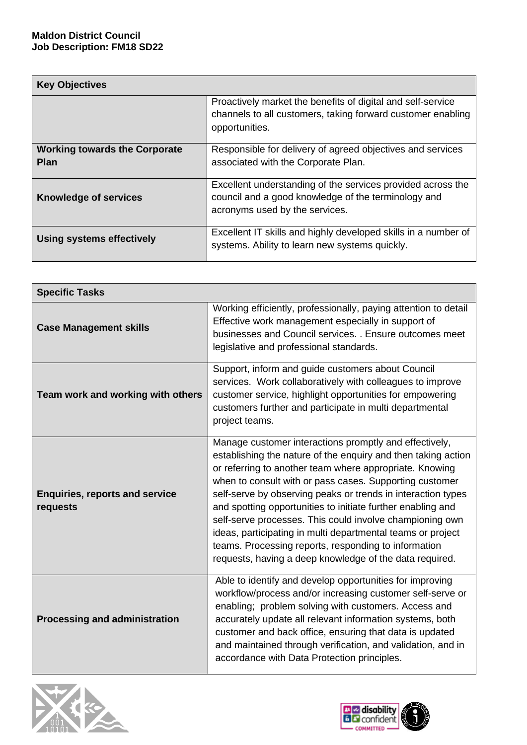| <b>Key Objectives</b>                               |                                                                                                                                                      |  |
|-----------------------------------------------------|------------------------------------------------------------------------------------------------------------------------------------------------------|--|
|                                                     | Proactively market the benefits of digital and self-service<br>channels to all customers, taking forward customer enabling<br>opportunities.         |  |
| <b>Working towards the Corporate</b><br><b>Plan</b> | Responsible for delivery of agreed objectives and services<br>associated with the Corporate Plan.                                                    |  |
| <b>Knowledge of services</b>                        | Excellent understanding of the services provided across the<br>council and a good knowledge of the terminology and<br>acronyms used by the services. |  |
| <b>Using systems effectively</b>                    | Excellent IT skills and highly developed skills in a number of<br>systems. Ability to learn new systems quickly.                                     |  |

| <b>Specific Tasks</b>                             |                                                                                                                                                                                                                                                                                                                                                                                                                                                                                                                                                                                                                            |
|---------------------------------------------------|----------------------------------------------------------------------------------------------------------------------------------------------------------------------------------------------------------------------------------------------------------------------------------------------------------------------------------------------------------------------------------------------------------------------------------------------------------------------------------------------------------------------------------------------------------------------------------------------------------------------------|
| <b>Case Management skills</b>                     | Working efficiently, professionally, paying attention to detail<br>Effective work management especially in support of<br>businesses and Council services. . Ensure outcomes meet<br>legislative and professional standards.                                                                                                                                                                                                                                                                                                                                                                                                |
| Team work and working with others                 | Support, inform and guide customers about Council<br>services. Work collaboratively with colleagues to improve<br>customer service, highlight opportunities for empowering<br>customers further and participate in multi departmental<br>project teams.                                                                                                                                                                                                                                                                                                                                                                    |
| <b>Enquiries, reports and service</b><br>requests | Manage customer interactions promptly and effectively,<br>establishing the nature of the enquiry and then taking action<br>or referring to another team where appropriate. Knowing<br>when to consult with or pass cases. Supporting customer<br>self-serve by observing peaks or trends in interaction types<br>and spotting opportunities to initiate further enabling and<br>self-serve processes. This could involve championing own<br>ideas, participating in multi departmental teams or project<br>teams. Processing reports, responding to information<br>requests, having a deep knowledge of the data required. |
| <b>Processing and administration</b>              | Able to identify and develop opportunities for improving<br>workflow/process and/or increasing customer self-serve or<br>enabling; problem solving with customers. Access and<br>accurately update all relevant information systems, both<br>customer and back office, ensuring that data is updated<br>and maintained through verification, and validation, and in<br>accordance with Data Protection principles.                                                                                                                                                                                                         |



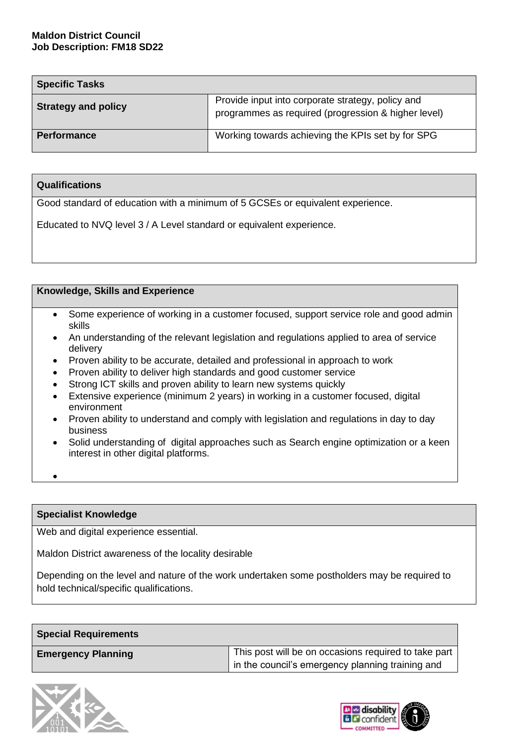| <b>Specific Tasks</b>      |                                                                                                          |  |
|----------------------------|----------------------------------------------------------------------------------------------------------|--|
| <b>Strategy and policy</b> | Provide input into corporate strategy, policy and<br>programmes as required (progression & higher level) |  |
| <b>Performance</b>         | Working towards achieving the KPIs set by for SPG                                                        |  |

## **Qualifications**

Good standard of education with a minimum of 5 GCSEs or equivalent experience.

Educated to NVQ level 3 / A Level standard or equivalent experience.

### **Knowledge, Skills and Experience**

- Some experience of working in a customer focused, support service role and good admin skills
- An understanding of the relevant legislation and regulations applied to area of service delivery
- Proven ability to be accurate, detailed and professional in approach to work
- Proven ability to deliver high standards and good customer service
- Strong ICT skills and proven ability to learn new systems quickly
- Extensive experience (minimum 2 years) in working in a customer focused, digital environment
- Proven ability to understand and comply with legislation and regulations in day to day business
- Solid understanding of digital approaches such as Search engine optimization or a keen interest in other digital platforms.
- •

### **Specialist Knowledge**

Web and digital experience essential.

Maldon District awareness of the locality desirable

Depending on the level and nature of the work undertaken some postholders may be required to hold technical/specific qualifications.

| <b>Special Requirements</b> |                                                                                                          |
|-----------------------------|----------------------------------------------------------------------------------------------------------|
| <b>Emergency Planning</b>   | This post will be on occasions required to take part<br>in the council's emergency planning training and |



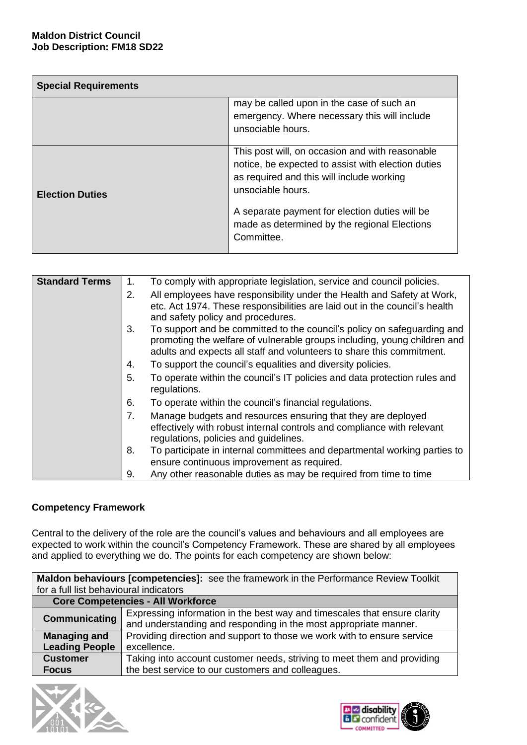| <b>Special Requirements</b> |                                                                                                                                                                                                                                                                                         |  |
|-----------------------------|-----------------------------------------------------------------------------------------------------------------------------------------------------------------------------------------------------------------------------------------------------------------------------------------|--|
|                             | may be called upon in the case of such an<br>emergency. Where necessary this will include<br>unsociable hours.                                                                                                                                                                          |  |
| <b>Election Duties</b>      | This post will, on occasion and with reasonable<br>notice, be expected to assist with election duties<br>as required and this will include working<br>unsociable hours.<br>A separate payment for election duties will be<br>made as determined by the regional Elections<br>Committee. |  |

| <b>Standard Terms</b> | 1. | To comply with appropriate legislation, service and council policies.                                                                                                                                                        |
|-----------------------|----|------------------------------------------------------------------------------------------------------------------------------------------------------------------------------------------------------------------------------|
|                       | 2. | All employees have responsibility under the Health and Safety at Work,                                                                                                                                                       |
|                       |    | etc. Act 1974. These responsibilities are laid out in the council's health<br>and safety policy and procedures.                                                                                                              |
|                       | 3. | To support and be committed to the council's policy on safeguarding and<br>promoting the welfare of vulnerable groups including, young children and<br>adults and expects all staff and volunteers to share this commitment. |
|                       | 4. | To support the council's equalities and diversity policies.                                                                                                                                                                  |
|                       | 5. | To operate within the council's IT policies and data protection rules and<br>regulations.                                                                                                                                    |
|                       | 6. | To operate within the council's financial regulations.                                                                                                                                                                       |
|                       | 7. | Manage budgets and resources ensuring that they are deployed<br>effectively with robust internal controls and compliance with relevant<br>regulations, policies and guidelines.                                              |
|                       | 8. | To participate in internal committees and departmental working parties to                                                                                                                                                    |
|                       |    | ensure continuous improvement as required.                                                                                                                                                                                   |
|                       | 9. | Any other reasonable duties as may be required from time to time                                                                                                                                                             |

# **Competency Framework**

Central to the delivery of the role are the council's values and behaviours and all employees are expected to work within the council's Competency Framework. These are shared by all employees and applied to everything we do. The points for each competency are shown below:

|                                          | Maldon behaviours [competencies]: see the framework in the Performance Review Toolkit |  |
|------------------------------------------|---------------------------------------------------------------------------------------|--|
| for a full list behavioural indicators   |                                                                                       |  |
| <b>Core Competencies - All Workforce</b> |                                                                                       |  |
|                                          | Expressing information in the best way and timescales that ensure clarity             |  |
| Communicating                            | and understanding and responding in the most appropriate manner.                      |  |
| <b>Managing and</b>                      | Providing direction and support to those we work with to ensure service               |  |
| <b>Leading People</b>                    | excellence.                                                                           |  |
| <b>Customer</b>                          | Taking into account customer needs, striving to meet them and providing               |  |
| <b>Focus</b>                             | the best service to our customers and colleagues.                                     |  |
|                                          |                                                                                       |  |



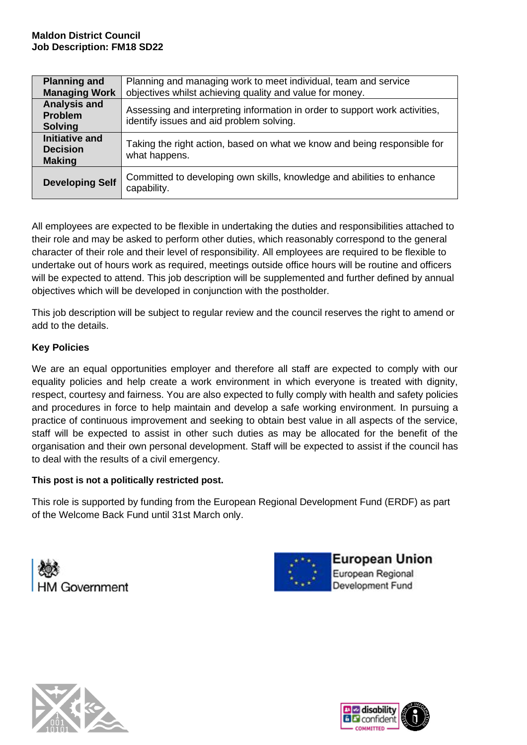| <b>Planning and</b><br><b>Managing Work</b>             | Planning and managing work to meet individual, team and service<br>objectives whilst achieving quality and value for money. |  |
|---------------------------------------------------------|-----------------------------------------------------------------------------------------------------------------------------|--|
| <b>Analysis and</b><br><b>Problem</b><br><b>Solving</b> | Assessing and interpreting information in order to support work activities,<br>identify issues and aid problem solving.     |  |
| Initiative and<br><b>Decision</b><br><b>Making</b>      | Taking the right action, based on what we know and being responsible for<br>what happens.                                   |  |
| <b>Developing Self</b>                                  | Committed to developing own skills, knowledge and abilities to enhance<br>capability.                                       |  |

All employees are expected to be flexible in undertaking the duties and responsibilities attached to their role and may be asked to perform other duties, which reasonably correspond to the general character of their role and their level of responsibility. All employees are required to be flexible to undertake out of hours work as required, meetings outside office hours will be routine and officers will be expected to attend. This job description will be supplemented and further defined by annual objectives which will be developed in conjunction with the postholder.

This job description will be subject to regular review and the council reserves the right to amend or add to the details.

# **Key Policies**

We are an equal opportunities employer and therefore all staff are expected to comply with our equality policies and help create a work environment in which everyone is treated with dignity, respect, courtesy and fairness. You are also expected to fully comply with health and safety policies and procedures in force to help maintain and develop a safe working environment. In pursuing a practice of continuous improvement and seeking to obtain best value in all aspects of the service, staff will be expected to assist in other such duties as may be allocated for the benefit of the organisation and their own personal development. Staff will be expected to assist if the council has to deal with the results of a civil emergency.

# **This post is not a politically restricted post.**

This role is supported by funding from the European Regional Development Fund (ERDF) as part of the Welcome Back Fund until 31st March only.





European Union European Regional **Development Fund**